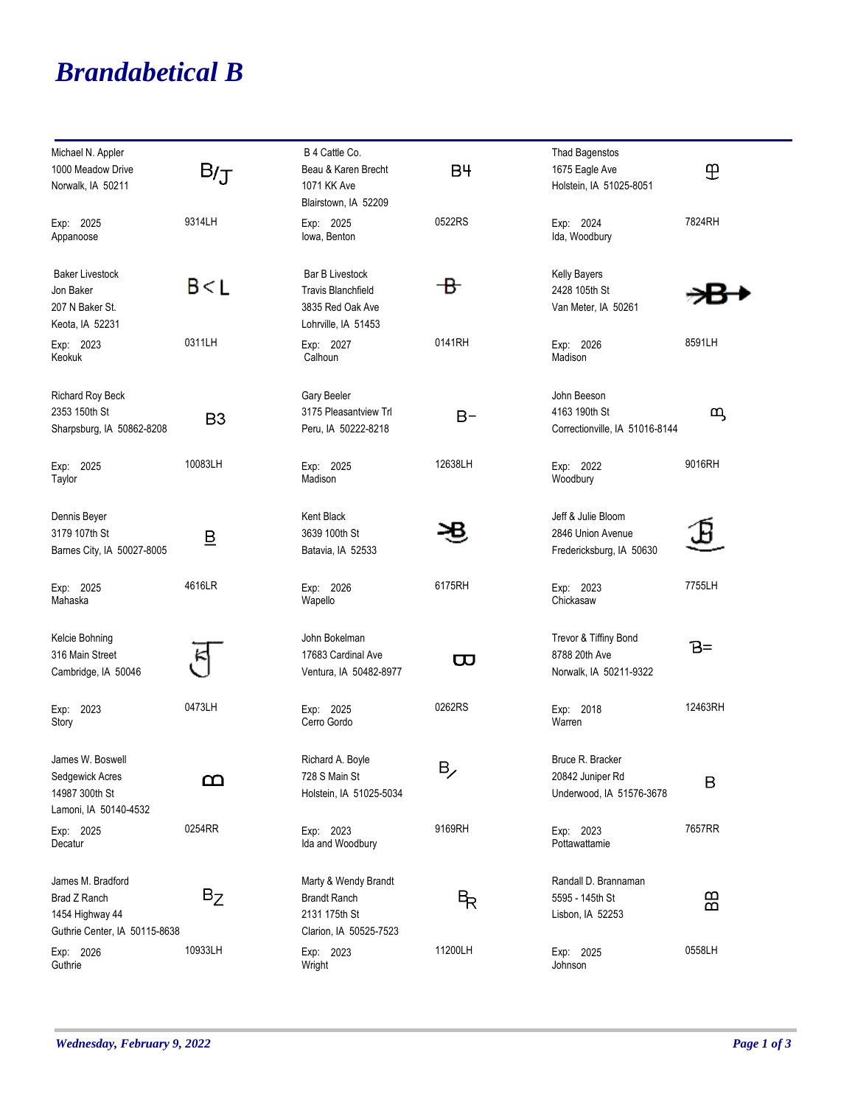## *Brandabetical B*

| Michael N. Appler<br>1000 Meadow Drive<br>Norwalk, IA 50211                           | B/J                     | B 4 Cattle Co.<br>Beau & Karen Brecht<br>1071 KK Ave<br>Blairstown, IA 52209                   | B <sup>4</sup>               | <b>Thad Bagenstos</b><br>1675 Eagle Ave<br>Holstein, IA 51025-8051  | E       |
|---------------------------------------------------------------------------------------|-------------------------|------------------------------------------------------------------------------------------------|------------------------------|---------------------------------------------------------------------|---------|
| Exp: 2025<br>Appanoose                                                                | 9314LH                  | Exp: 2025<br>lowa, Benton                                                                      | 0522RS                       | Exp: 2024<br>Ida, Woodbury                                          | 7824RH  |
| <b>Baker Livestock</b><br>Jon Baker<br>207 N Baker St.<br>Keota, IA 52231             | B < L                   | <b>Bar B Livestock</b><br><b>Travis Blanchfield</b><br>3835 Red Oak Ave<br>Lohrville, IA 51453 | - B                          | <b>Kelly Bayers</b><br>2428 105th St<br>Van Meter, IA 50261         |         |
| Exp: 2023<br>Keokuk                                                                   | 0311LH                  | Exp: 2027<br>Calhoun                                                                           | 0141RH                       | Exp: 2026<br>Madison                                                | 8591LH  |
| <b>Richard Roy Beck</b><br>2353 150th St<br>Sharpsburg, IA 50862-8208                 | B <sub>3</sub>          | Gary Beeler<br>3175 Pleasantview Trl<br>Peru, IA 50222-8218                                    | $B -$                        | John Beeson<br>4163 190th St<br>Correctionville, IA 51016-8144      | മ്യ     |
| Exp: 2025<br>Taylor                                                                   | 10083LH                 | Exp: 2025<br>Madison                                                                           | 12638LH                      | Exp: 2022<br>Woodbury                                               | 9016RH  |
| Dennis Beyer<br>3179 107th St<br>Barnes City, IA 50027-8005                           | $\overline{\mathsf{B}}$ | Kent Black<br>3639 100th St<br>Batavia, IA 52533                                               |                              | Jeff & Julie Bloom<br>2846 Union Avenue<br>Fredericksburg, IA 50630 |         |
| Exp: 2025<br>Mahaska                                                                  | 4616LR                  | Exp: 2026<br>Wapello                                                                           | 6175RH                       | Exp: 2023<br>Chickasaw                                              | 7755LH  |
| Kelcie Bohning<br>316 Main Street<br>Cambridge, IA 50046                              |                         | John Bokelman<br>17683 Cardinal Ave<br>Ventura, IA 50482-8977                                  | $\boldsymbol{\varpi}$        | Trevor & Tiffiny Bond<br>8788 20th Ave<br>Norwalk, IA 50211-9322    | B=      |
| Exp: 2023<br>Story                                                                    | 0473LH                  | Exp: 2025<br>Cerro Gordo                                                                       | 0262RS                       | Exp: 2018<br>Warren                                                 | 12463RH |
| James W. Boswell<br>Sedgewick Acres<br>14987 300th St<br>Lamoni, IA 50140-4532        | മ                       | Richard A. Boyle<br>728 S Main St<br>Holstein, IA 51025-5034                                   | $\mathsf{B}_{\!\mathscr{S}}$ | Bruce R. Bracker<br>20842 Juniper Rd<br>Underwood, IA 51576-3678    | B       |
| Exp: 2025<br>Decatur                                                                  | 0254RR                  | Exp: 2023<br>Ida and Woodbury                                                                  | 9169RH                       | Exp: 2023<br>Pottawattamie                                          | 7657RR  |
| James M. Bradford<br>Brad Z Ranch<br>1454 Highway 44<br>Guthrie Center, IA 50115-8638 | $B_Z$                   | Marty & Wendy Brandt<br><b>Brandt Ranch</b><br>2131 175th St<br>Clarion, IA 50525-7523         | β                            | Randall D. Brannaman<br>5595 - 145th St<br>Lisbon, IA 52253         | 88      |
| Exp: 2026<br>Guthrie                                                                  | 10933LH                 | Exp: 2023<br>Wright                                                                            | 11200LH                      | Exp: 2025<br>Johnson                                                | 0558LH  |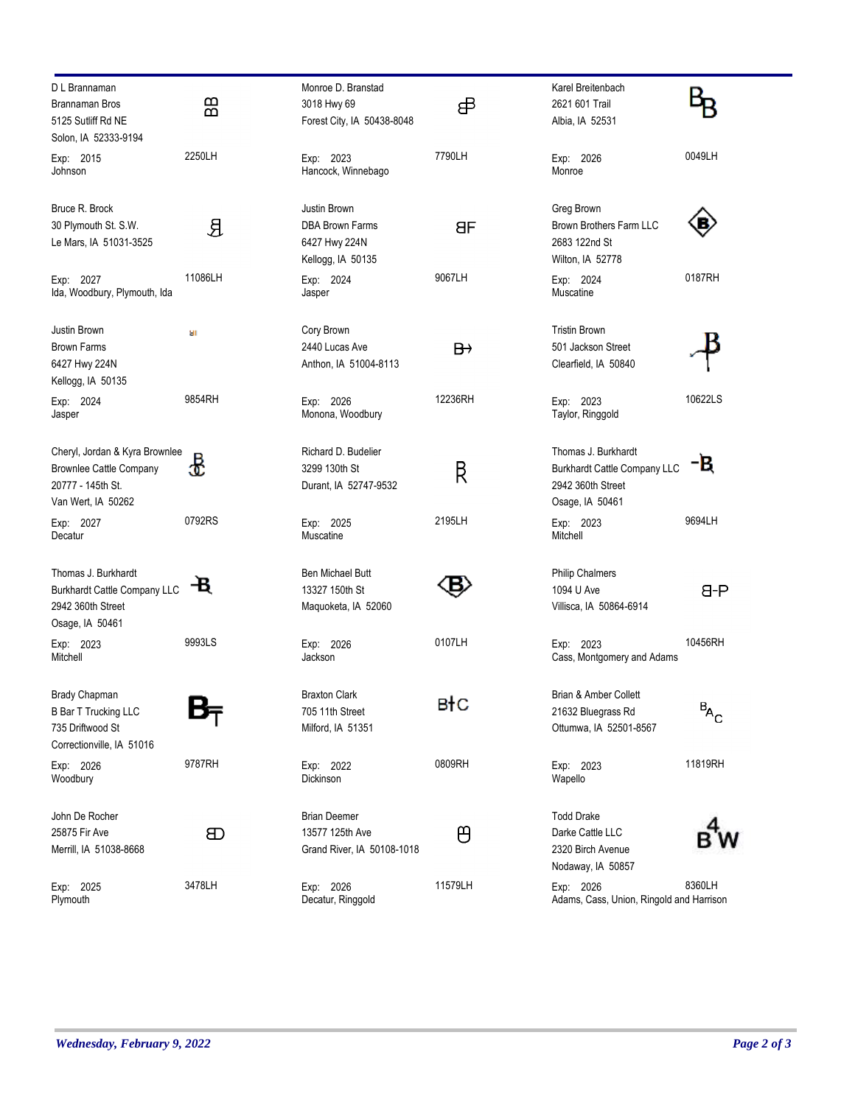| D L Brannaman                              |         | Monroe D. Branstad            |                | Karel Breitenbach                        |                                          |
|--------------------------------------------|---------|-------------------------------|----------------|------------------------------------------|------------------------------------------|
| Brannaman Bros                             | 品       | 3018 Hwy 69                   | சி             | 2621 601 Trail                           |                                          |
| 5125 Sutliff Rd NE<br>Solon, IA 52333-9194 |         | Forest City, IA 50438-8048    |                | Albia, IA 52531                          |                                          |
| Exp: 2015                                  | 2250LH  | Exp: 2023                     | 7790LH         | Exp: 2026                                | 0049LH                                   |
| Johnson                                    |         | Hancock, Winnebago            |                | Monroe                                   |                                          |
| Bruce R. Brock                             |         | Justin Brown                  |                | Greg Brown                               |                                          |
| 30 Plymouth St. S.W.                       | 요       | <b>DBA Brown Farms</b>        | <b>BF</b>      | Brown Brothers Farm LLC                  |                                          |
| Le Mars, IA 51031-3525                     |         | 6427 Hwy 224N                 |                | 2683 122nd St                            |                                          |
|                                            |         | Kellogg, IA 50135             |                | Wilton, IA 52778                         |                                          |
| Exp: 2027<br>Ida, Woodbury, Plymouth, Ida  | 11086LH | Exp: 2024<br>Jasper           | 9067LH         | Exp: 2024<br>Muscatine                   | 0187RH                                   |
| Justin Brown                               | 9T      | Cory Brown                    |                | <b>Tristin Brown</b>                     |                                          |
| <b>Brown Farms</b>                         |         | 2440 Lucas Ave                | $\overline{B}$ | 501 Jackson Street                       |                                          |
| 6427 Hwy 224N                              |         | Anthon, IA 51004-8113         |                | Clearfield, IA 50840                     |                                          |
| Kellogg, IA 50135                          | 9854RH  |                               | 12236RH        |                                          | 10622LS                                  |
| Exp: 2024<br>Jasper                        |         | Exp: 2026<br>Monona, Woodbury |                | Exp: 2023<br>Taylor, Ringgold            |                                          |
| Cheryl, Jordan & Kyra Brownlee             |         | Richard D. Budelier           |                | Thomas J. Burkhardt                      |                                          |
| <b>Brownlee Cattle Company</b>             | æ       | 3299 130th St                 | R              | <b>Burkhardt Cattle Company LLC</b>      | В                                        |
| 20777 - 145th St.                          |         | Durant, IA 52747-9532         |                | 2942 360th Street                        |                                          |
| Van Wert, IA 50262                         |         |                               |                | Osage, IA 50461                          |                                          |
| Exp: 2027<br>Decatur                       | 0792RS  | Exp: 2025<br>Muscatine        | 2195LH         | Exp: 2023<br>Mitchell                    | 9694LH                                   |
| Thomas J. Burkhardt                        |         | Ben Michael Butt              |                | <b>Philip Chalmers</b>                   |                                          |
| <b>Burkhardt Cattle Company LLC</b>        | -В.     | 13327 150th St                |                | 1094 U Ave                               | $H - B$                                  |
| 2942 360th Street                          |         | Maguoketa, IA 52060           |                | Villisca, IA 50864-6914                  |                                          |
| Osage, IA 50461                            |         |                               |                |                                          |                                          |
| Exp: 2023<br>Mitchell                      | 9993LS  | Exp: 2026<br>Jackson          | 0107LH         | Exp: 2023<br>Cass, Montgomery and Adams  | 10456RH                                  |
| Brady Chapman                              |         | <b>Braxton Clark</b>          |                | Brian & Amber Collett                    |                                          |
| <b>B Bar T Trucking LLC</b>                |         | 705 11th Street               | вłс            | 21632 Bluegrass Rd                       | $\mathbf{B}_{\!\mathsf{A}_{\mathsf{C}}}$ |
| 735 Driftwood St                           |         | Milford, IA 51351             |                | Ottumwa, IA 52501-8567                   |                                          |
| Correctionville, IA 51016                  |         |                               |                |                                          |                                          |
| Exp: 2026                                  | 9787RH  | Exp: 2022                     | 0809RH         | Exp: 2023                                | 11819RH                                  |
| Woodbury                                   |         | Dickinson                     |                | Wapello                                  |                                          |
| John De Rocher                             |         | <b>Brian Deemer</b>           |                | <b>Todd Drake</b>                        |                                          |
| 25875 Fir Ave                              | Œ       | 13577 125th Ave               | පි             | Darke Cattle LLC                         |                                          |
| Merrill, IA 51038-8668                     |         | Grand River, IA 50108-1018    |                | 2320 Birch Avenue<br>Nodaway, IA 50857   |                                          |
| Exp: 2025                                  | 3478LH  | Exp: 2026                     | 11579LH        | Exp: 2026                                | 8360LH                                   |
| Plymouth                                   |         | Decatur, Ringgold             |                | Adams, Cass, Union, Ringold and Harrison |                                          |